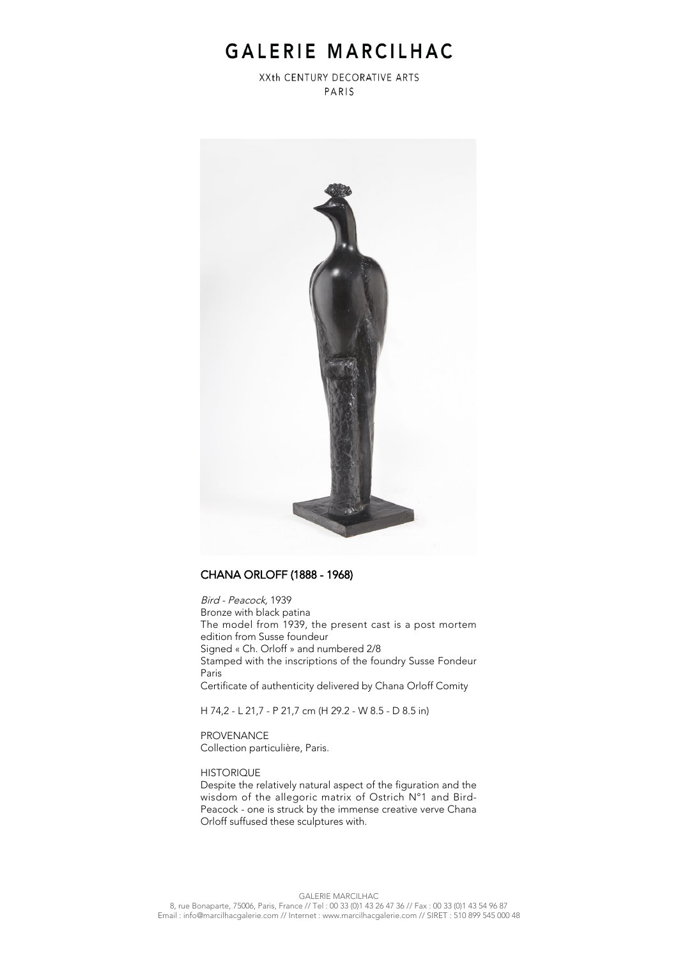## GALERIE MARCILHAC

XXth CENTURY DECORATIVE ARTS PARIS



### CHANA ORLOFF (1888 - 1968)

Bird - Peacock, 1939 Bronze with black patina The model from 1939, the present cast is a post mortem edition from Susse foundeur Signed « Ch. Orloff » and numbered 2/8 Stamped with the inscriptions of the foundry Susse Fondeur Paris Certificate of authenticity delivered by Chana Orloff Comity

H 74,2 - L 21,7 - P 21,7 cm (H 29.2 - W 8.5 - D 8.5 in)

PROVENANCE Collection particulière, Paris.

#### **HISTORIQUE**

Despite the relatively natural aspect of the figuration and the wisdom of the allegoric matrix of Ostrich N°1 and Bird-Peacock - one is struck by the immense creative verve Chana Orloff suffused these sculptures with.